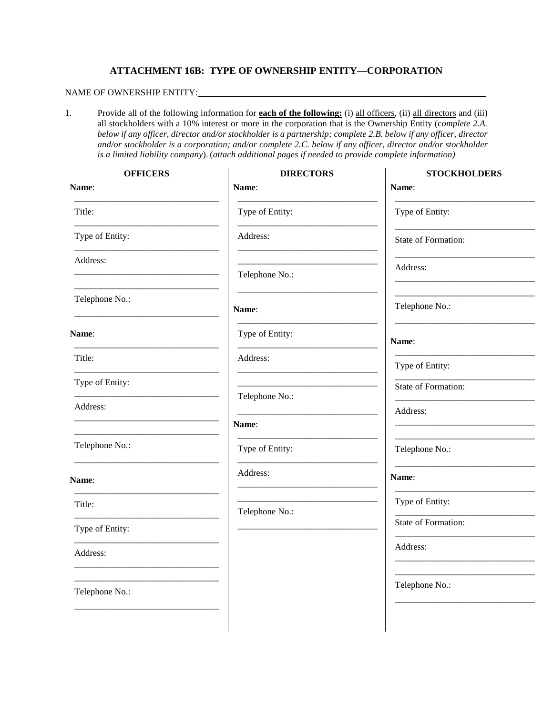## **ATTACHMENT 16B: TYPE OF OWNERSHIP ENTITY—CORPORATION**

## NAME OF OWNERSHIP ENTITY: \_\_\_\_\_\_\_\_\_\_\_\_\_\_

1. Provide all of the following information for **each of the following:** (i) all officers, (ii) all directors and (iii) all stockholders with a 10% interest or more in the corporation that is the Ownership Entity (c*omplete 2.A. below if any officer, director and/or stockholder is a partnership; complete 2.B. below if any officer, director and/or stockholder is a corporation; and/or complete 2.C. below if any officer, director and/or stockholder is a limited liability company*). (*attach additional pages if needed to provide complete information)*

| <b>OFFICERS</b><br>Name: | <b>DIRECTORS</b><br>Name: | <b>STOCKHOLDERS</b><br>Name: |
|--------------------------|---------------------------|------------------------------|
| Title:                   | Type of Entity:           | Type of Entity:              |
| Type of Entity:          | Address:                  | State of Formation:          |
| Address:                 | Telephone No.:            | Address:                     |
| Telephone No.:           | Name:                     | Telephone No.:               |
| Name:                    | Type of Entity:           | Name:                        |
| Title:                   | Address:                  | Type of Entity:              |
| Type of Entity:          |                           | State of Formation:          |
| Address:                 | Telephone No.:            | Address:                     |
|                          | Name:                     |                              |
| Telephone No.:           | Type of Entity:           | Telephone No.:               |
| Name:                    | Address:                  | Name:                        |
| Title:                   | Telephone No.:            | Type of Entity:              |
| Type of Entity:          |                           | State of Formation:          |
| Address:                 |                           | Address:                     |
| Telephone No.:           |                           | Telephone No.:               |
|                          |                           |                              |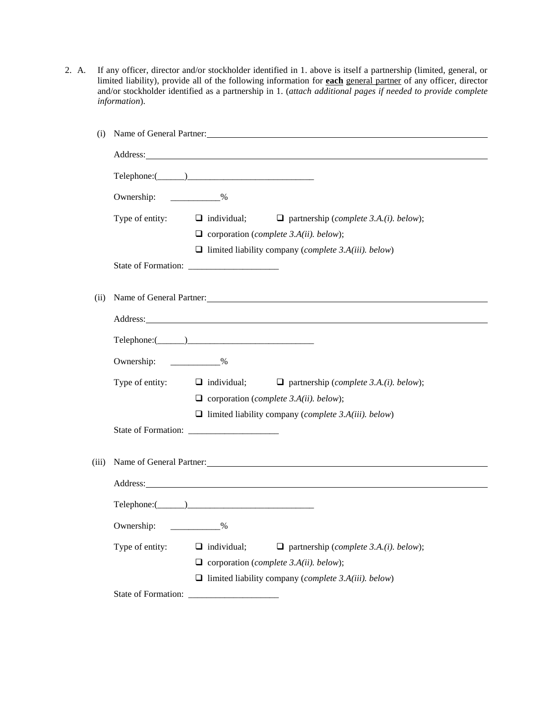2. A. If any officer, director and/or stockholder identified in 1. above is itself a partnership (limited, general, or limited liability), provide all of the following information for **each** general partner of any officer, director and/or stockholder identified as a partnership in 1. (*attach additional pages if needed to provide complete information*).

| (i)   | Name of General Partner: Name of General Partner:                                                                                                                                                                              |  |  |  |
|-------|--------------------------------------------------------------------------------------------------------------------------------------------------------------------------------------------------------------------------------|--|--|--|
|       | Address: <u>Address</u> and the anti-                                                                                                                                                                                          |  |  |  |
|       | $\text{Telephone:} (\_\_\_\_\_\_\_\_\_\_\_\_$                                                                                                                                                                                  |  |  |  |
|       | Ownership: ____________%                                                                                                                                                                                                       |  |  |  |
|       | Type of entity:<br>$\Box$ individual;<br>$\Box$ partnership (complete 3.A.(i). below);                                                                                                                                         |  |  |  |
|       | $\Box$ corporation (complete 3.A(ii). below);                                                                                                                                                                                  |  |  |  |
|       | $\Box$ limited liability company ( <i>complete 3.A(iii)</i> . <i>below</i> )                                                                                                                                                   |  |  |  |
|       |                                                                                                                                                                                                                                |  |  |  |
| (ii)  | Name of General Partner:                                                                                                                                                                                                       |  |  |  |
|       | Address: No. 2014 19:30 and 2015 19:30 and 2016 19:30 and 2017 19:30 and 2017 19:30 and 2017 19:30 and 2017 19:30 and 2017 19:30 and 2017 19:30 and 2017 19:30 and 2017 19:30 and 2017 19:30 and 2017 19:30 and 2017 19:30 and |  |  |  |
|       | $\text{Telephone:} (\_\_)$                                                                                                                                                                                                     |  |  |  |
|       | Ownership: ____________%                                                                                                                                                                                                       |  |  |  |
|       | Type of entity:<br>$\Box$ individual;<br>$\Box$ partnership (complete 3.A.(i). below);                                                                                                                                         |  |  |  |
|       | $\Box$ corporation (complete 3.A(ii). below);                                                                                                                                                                                  |  |  |  |
|       | $\Box$ limited liability company ( <i>complete 3.A(iii)</i> . <i>below</i> )                                                                                                                                                   |  |  |  |
|       |                                                                                                                                                                                                                                |  |  |  |
| (iii) | Name of General Partner:                                                                                                                                                                                                       |  |  |  |
|       |                                                                                                                                                                                                                                |  |  |  |
|       |                                                                                                                                                                                                                                |  |  |  |
|       | Ownership: ____________%                                                                                                                                                                                                       |  |  |  |
|       | Type of entity:<br>$\Box$ individual;<br>$\Box$ partnership (complete 3.A.(i). below);                                                                                                                                         |  |  |  |
|       | $\Box$ corporation (complete 3.A(ii). below);                                                                                                                                                                                  |  |  |  |
|       | $\Box$ limited liability company ( <i>complete 3.A(iii)</i> . <i>below</i> )                                                                                                                                                   |  |  |  |
|       |                                                                                                                                                                                                                                |  |  |  |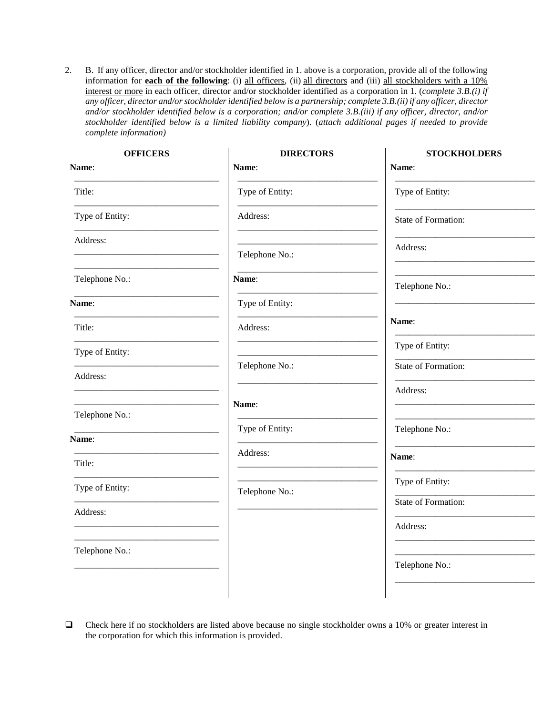2. B. If any officer, director and/or stockholder identified in 1. above is a corporation, provide all of the following information for **each of the following**: (i) all officers, (ii) all directors and (iii) all stockholders with a 10% interest or more in each officer, director and/or stockholder identified as a corporation in 1. (*complete 3.B.(i) if any officer, director and/or stockholder identified below is a partnership; complete 3.B.(ii) if any officer, director and/or stockholder identified below is a corporation; and/or complete 3.B.(iii) if any officer, director, and/or stockholder identified below is a limited liability company*). (*attach additional pages if needed to provide complete information)*

| <b>OFFICERS</b> | <b>DIRECTORS</b> | <b>STOCKHOLDERS</b> |
|-----------------|------------------|---------------------|
| Name:           | Name:            | Name:               |
| Title:          | Type of Entity:  | Type of Entity:     |
| Type of Entity: | Address:         | State of Formation: |
| Address:        |                  |                     |
|                 | Telephone No.:   | Address:            |
| Telephone No.:  | Name:            | Telephone No.:      |
| Name:           | Type of Entity:  |                     |
| Title:          | Address:         | Name:               |
| Type of Entity: |                  | Type of Entity:     |
| Address:        | Telephone No.:   | State of Formation: |
|                 | Name:            | Address:            |
| Telephone No.:  |                  |                     |
| Name:           | Type of Entity:  | Telephone No.:      |
| Title:          | Address:         | Name:               |
| Type of Entity: | Telephone No.:   | Type of Entity:     |
| Address:        |                  | State of Formation: |
|                 |                  | Address:            |
| Telephone No.:  |                  |                     |
|                 |                  | Telephone No.:      |
|                 |                  |                     |

 $\Box$  Check here if no stockholders are listed above because no single stockholder owns a 10% or greater interest in the corporation for which this information is provided.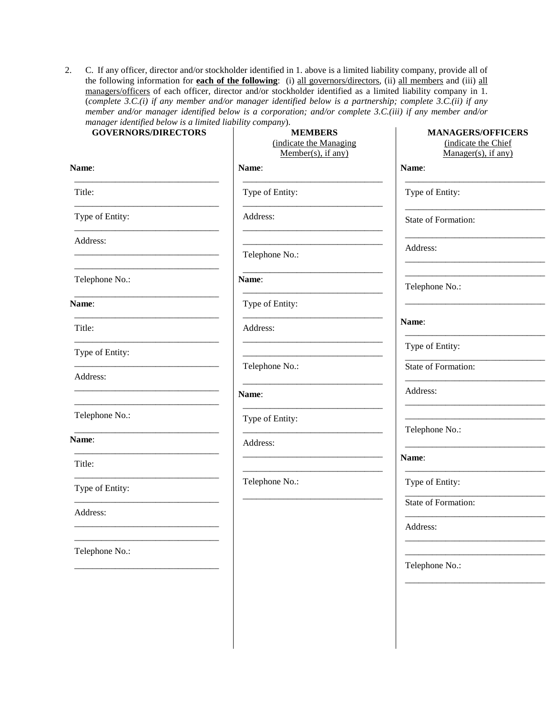2. C. If any officer, director and/or stockholder identified in 1. above is a limited liability company, provide all of the following information for **each of the following**: (i) all governors/directors, (ii) all members and (iii) all managers/officers of each officer, director and/or stockholder identified as a limited liability company in 1. (*complete 3.C.(i) if any member and/or manager identified below is a partnership; complete 3.C.(ii) if any member and/or manager identified below is a corporation; and/or complete 3.C.(iii) if any member and/or manager identified below is a limited liability company*).

| <b>GOVERNORS/DIRECTORS</b>                                                                  | <b>MEMBERS</b><br>(indicate the Managing<br>$Member(s)$ , if any)         | <b>MANAGERS/OFFICERS</b><br>(indicate the Chief<br>$Manager(s)$ , if any) |
|---------------------------------------------------------------------------------------------|---------------------------------------------------------------------------|---------------------------------------------------------------------------|
| Name:                                                                                       | Name:                                                                     | Name:                                                                     |
| Title:                                                                                      | Type of Entity:                                                           | Type of Entity:                                                           |
| Type of Entity:                                                                             | Address:                                                                  | State of Formation:                                                       |
| Address:<br>the contract of the contract of the contract of the contract of the contract of | Telephone No.:                                                            | Address:                                                                  |
| Telephone No.:                                                                              | Name:                                                                     | Telephone No.:                                                            |
| <b>Name:</b>                                                                                | Type of Entity:                                                           |                                                                           |
| Title:                                                                                      | Address:                                                                  | Name:                                                                     |
| Type of Entity:                                                                             |                                                                           | Type of Entity:                                                           |
| Address:                                                                                    | Telephone No.:                                                            | State of Formation:                                                       |
| <u> 1989 - Johann Barbara, martxa alemaniar a</u>                                           | Name:                                                                     | Address:                                                                  |
| Telephone No.:                                                                              | Type of Entity:                                                           |                                                                           |
| the contract of the contract of the contract of the contract of<br>Name:                    | <u> 1980 - Johann Barn, mars an t-Amerikaansk politiker (</u><br>Address: | Telephone No.:                                                            |
| Title:                                                                                      |                                                                           | Name:                                                                     |
| Type of Entity:                                                                             | Telephone No.:                                                            | Type of Entity:                                                           |
| Address:                                                                                    |                                                                           | State of Formation:                                                       |
|                                                                                             |                                                                           | Address:                                                                  |
| Telephone No.:                                                                              |                                                                           |                                                                           |
|                                                                                             |                                                                           | Telephone No.:                                                            |
|                                                                                             |                                                                           |                                                                           |
|                                                                                             |                                                                           |                                                                           |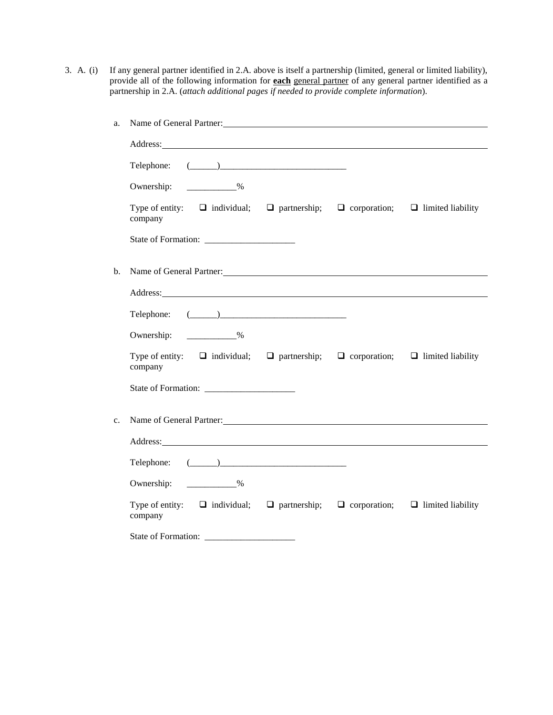3. A. (i) If any general partner identified in 2.A. above is itself a partnership (limited, general or limited liability), provide all of the following information for **each** general partner of any general partner identified as a partnership in 2.A. (*attach additional pages if needed to provide complete information*).

| a. | Name of General Partner:                                                                                                                                                                                                            |  |
|----|-------------------------------------------------------------------------------------------------------------------------------------------------------------------------------------------------------------------------------------|--|
|    | Address: <u>Address:</u> Address: Address: Address: Address: Address: Address: Address: Address: Address: Address: Address: Address: Address: Address: Address: Address: Address: Address: Address: Address: Address: Address: Addr |  |
|    | Telephone: $(\_\_)$                                                                                                                                                                                                                 |  |
|    | Ownership: ____________%                                                                                                                                                                                                            |  |
|    | Type of entity: $\Box$ individual; $\Box$ partnership; $\Box$ corporation; $\Box$ limited liability<br>company                                                                                                                      |  |
|    |                                                                                                                                                                                                                                     |  |
| b. | Name of General Partner:                                                                                                                                                                                                            |  |
|    | Address: Address: Address: Address: Address: Address: Address: Address: Address: Address: Address: Address: Address: Address: Address: Address: Address: Address: Address: Address: Address: Address: Address: Address: Addres      |  |
|    | Telephone: $(\_\_)$                                                                                                                                                                                                                 |  |
|    | Ownership: ____________%                                                                                                                                                                                                            |  |
|    | Type of entity: $\Box$ individual; $\Box$ partnership; $\Box$ corporation; $\Box$ limited liability<br>company                                                                                                                      |  |
|    |                                                                                                                                                                                                                                     |  |
| c. | Name of General Partner:                                                                                                                                                                                                            |  |
|    | Address: Note that the contract of the contract of the contract of the contract of the contract of the contract of the contract of the contract of the contract of the contract of the contract of the contract of the contrac      |  |
|    | Telephone: $(\_\_)$                                                                                                                                                                                                                 |  |
|    | Ownership: ____________%                                                                                                                                                                                                            |  |
|    | Type of entity: $\Box$ individual; $\Box$ partnership; $\Box$ corporation; $\Box$ limited liability<br>company                                                                                                                      |  |
|    |                                                                                                                                                                                                                                     |  |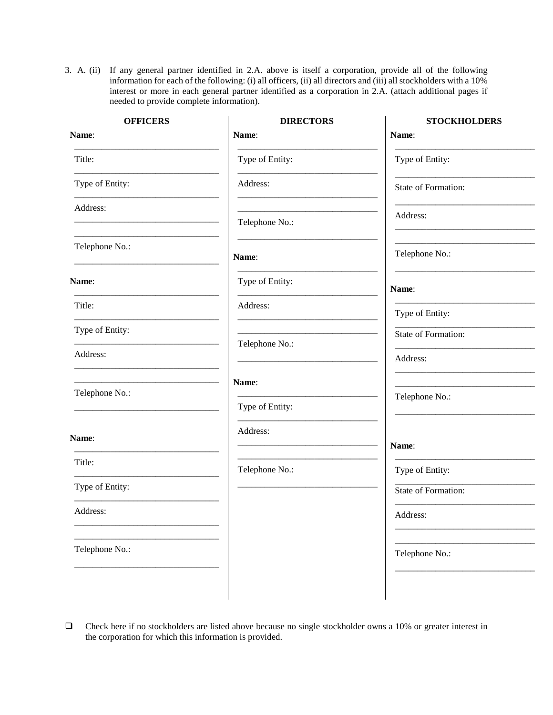3. A. (ii) If any general partner identified in 2.A. above is itself a corporation, provide all of the following information for each of the following: (i) all officers, (ii) all directors and (iii) all stockholders with a 10% interest or more in each general partner identified as a corporation in 2.A. (attach additional pages if needed to provide complete information).

| <b>OFFICERS</b> | <b>DIRECTORS</b> | <b>STOCKHOLDERS</b> |
|-----------------|------------------|---------------------|
| Name:           | Name:            | Name:               |
| Title:          | Type of Entity:  | Type of Entity:     |
| Type of Entity: | Address:         | State of Formation: |
| Address:        | Telephone No.:   | Address:            |
| Telephone No.:  |                  |                     |
|                 | Name:            | Telephone No.:      |
| <b>Name:</b>    | Type of Entity:  | Name:               |
| Title:          | Address:         | Type of Entity:     |
| Type of Entity: |                  | State of Formation: |
| Address:        | Telephone No.:   | Address:            |
| Telephone No.:  | Name:            |                     |
|                 | Type of Entity:  | Telephone No.:      |
| Name:           | Address:         | Name:               |
| Title:          | Telephone No.:   | Type of Entity:     |
| Type of Entity: |                  | State of Formation: |
| Address:        |                  | Address:            |
| Telephone No.:  |                  | Telephone No.:      |
|                 |                  |                     |

 Check here if no stockholders are listed above because no single stockholder owns a 10% or greater interest in the corporation for which this information is provided.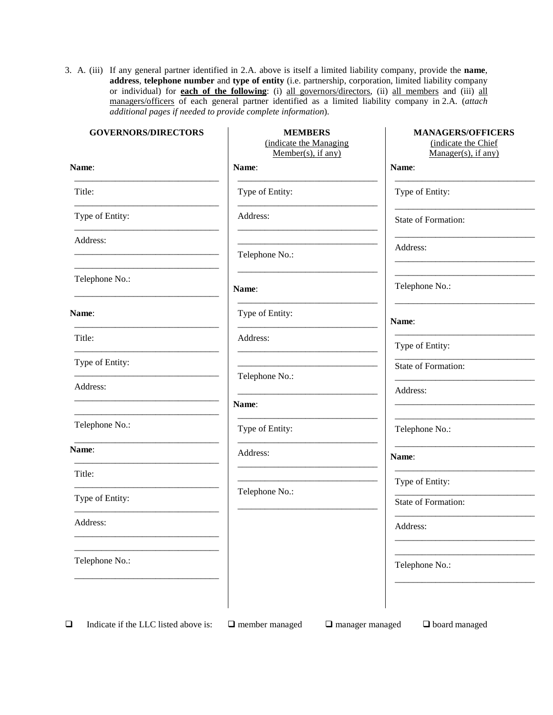3. A. (iii) If any general partner identified in 2.A. above is itself a limited liability company, provide the **name**, **address**, **telephone number** and **type of entity** (i.e. partnership, corporation, limited liability company or individual) for **each of the following**: (i) all governors/directors, (ii) all members and (iii) all managers/officers of each general partner identified as a limited liability company in 2.A. (*attach additional pages if needed to provide complete information*).

| <b>GOVERNORS/DIRECTORS</b> | <b>MEMBERS</b><br>(indicate the Managing<br>$Member(s)$ , if any) | <b>MANAGERS/OFFICERS</b><br>(indicate the Chief<br>$Manager(s)$ , if any) |
|----------------------------|-------------------------------------------------------------------|---------------------------------------------------------------------------|
| Name:                      | Name:                                                             | Name:                                                                     |
| Title:                     | Type of Entity:                                                   | Type of Entity:                                                           |
| Type of Entity:            | Address:                                                          | State of Formation:                                                       |
| Address:                   | Telephone No.:                                                    | Address:                                                                  |
| Telephone No.:             | Name:                                                             | Telephone No.:                                                            |
| Name:                      | Type of Entity:                                                   | Name:                                                                     |
| Title:                     | Address:                                                          | Type of Entity:                                                           |
| Type of Entity:            |                                                                   | State of Formation:                                                       |
| Address:                   | Telephone No.:                                                    | Address:                                                                  |
|                            | Name:                                                             |                                                                           |
| Telephone No.:             | Type of Entity:                                                   | Telephone No.:                                                            |
| Name:                      | Address:                                                          | Name:                                                                     |
| Title:                     |                                                                   | Type of Entity:                                                           |
| Type of Entity:            | Telephone No.:                                                    | State of Formation:                                                       |
| Address:                   |                                                                   | Address:                                                                  |
| Telephone No.:             |                                                                   | Telephone No.:                                                            |
|                            |                                                                   |                                                                           |

**Indicate if the LLC listed above is:**  $\Box$  member managed  $\Box$  manager managed  $\Box$  board managed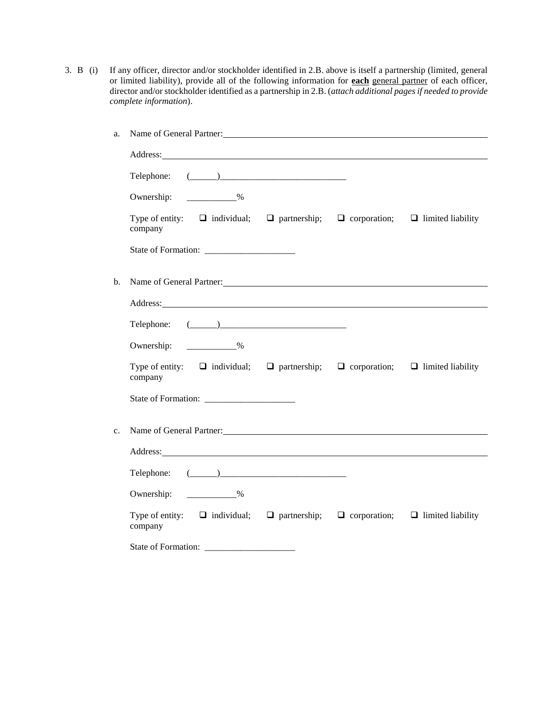3. B (i) If any officer, director and/or stockholder identified in 2.B. above is itself a partnership (limited, general or limited liability), provide all of the following information for **each** general partner of each officer, director and/or stockholder identified as a partnership in 2.B. (*attach additional pages if needed to provide complete information*).

| a.             | Name of General Partner:                                                                                                                                                                                                       |  |  |
|----------------|--------------------------------------------------------------------------------------------------------------------------------------------------------------------------------------------------------------------------------|--|--|
|                | Address: Note that the contract of the contract of the contract of the contract of the contract of the contract of the contract of the contract of the contract of the contract of the contract of the contract of the contrac |  |  |
|                | Telephone: $(\_\_)$                                                                                                                                                                                                            |  |  |
|                | Ownership: ____________%                                                                                                                                                                                                       |  |  |
|                | Type of entity: $\Box$ individual; $\Box$ partnership; $\Box$ corporation; $\Box$ limited liability<br>company                                                                                                                 |  |  |
|                |                                                                                                                                                                                                                                |  |  |
| $\mathbf{b}$ . |                                                                                                                                                                                                                                |  |  |
|                | Address: Note that the contract of the contract of the contract of the contract of the contract of the contract of the contract of the contract of the contract of the contract of the contract of the contract of the contrac |  |  |
|                | Telephone: $(\_\_)$                                                                                                                                                                                                            |  |  |
|                | Ownership: 2008                                                                                                                                                                                                                |  |  |
|                | Type of entity: $\Box$ individual; $\Box$ partnership; $\Box$ corporation; $\Box$ limited liability<br>company                                                                                                                 |  |  |
|                |                                                                                                                                                                                                                                |  |  |
| $c_{\cdot}$    | Name of General Partner:                                                                                                                                                                                                       |  |  |
|                | Address: Note and the contract of the contract of the contract of the contract of the contract of the contract of the contract of the contract of the contract of the contract of the contract of the contract of the contract |  |  |
|                | Telephone: $(\_\_)$                                                                                                                                                                                                            |  |  |
|                | Ownership: 2%                                                                                                                                                                                                                  |  |  |
|                | Type of entity: $\Box$ individual; $\Box$ partnership; $\Box$ corporation; $\Box$ limited liability<br>company                                                                                                                 |  |  |
|                |                                                                                                                                                                                                                                |  |  |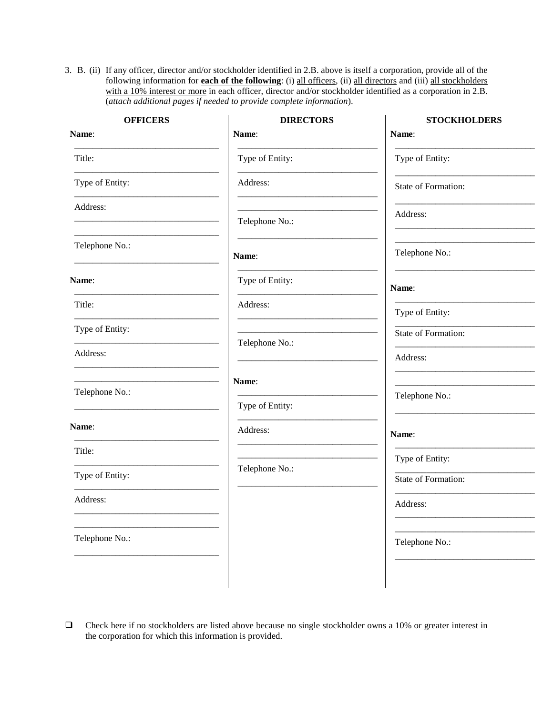3. B. (ii) If any officer, director and/or stockholder identified in 2.B. above is itself a corporation, provide all of the following information for **each of the following**: (i) all officers, (ii) all directors and (iii) all stockholders with a 10% interest or more in each officer, director and/or stockholder identified as a corporation in 2.B. (*attach additional pages if needed to provide complete information*).

| <b>OFFICERS</b> | <b>DIRECTORS</b> | <b>STOCKHOLDERS</b> |
|-----------------|------------------|---------------------|
| Name:           | Name:            | Name:               |
| Title:          | Type of Entity:  | Type of Entity:     |
| Type of Entity: | Address:         | State of Formation: |
| Address:        | Telephone No.:   | Address:            |
| Telephone No.:  | Name:            | Telephone No.:      |
| Name:           | Type of Entity:  | Name:               |
| Title:          | Address:         | Type of Entity:     |
| Type of Entity: | Telephone No.:   | State of Formation: |
| Address:        |                  | Address:            |
| Telephone No.:  | Name:            | Telephone No.:      |
|                 | Type of Entity:  |                     |
| <b>Name:</b>    | Address:         | Name:               |
| Title:          |                  | Type of Entity:     |
| Type of Entity: | Telephone No.:   | State of Formation: |
| Address:        |                  | Address:            |
| Telephone No.:  |                  | Telephone No.:      |
|                 |                  |                     |

 Check here if no stockholders are listed above because no single stockholder owns a 10% or greater interest in the corporation for which this information is provided.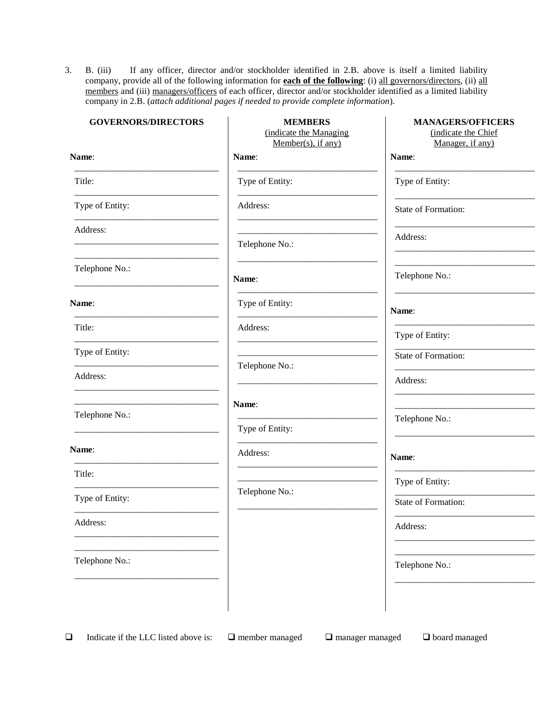3. B. (iii) If any officer, director and/or stockholder identified in 2.B. above is itself a limited liability company, provide all of the following information for **each of the following**: (i) all governors/directors, (ii) all members and (iii) managers/officers of each officer, director and/or stockholder identified as a limited liability company in 2.B. (*attach additional pages if needed to provide complete information*).

| <b>GOVERNORS/DIRECTORS</b> | <b>MEMBERS</b><br>(indicate the Managing<br>Member(s), if any) | <b>MANAGERS/OFFICERS</b><br>(indicate the Chief<br>Manager, if any) |
|----------------------------|----------------------------------------------------------------|---------------------------------------------------------------------|
| Name:                      | Name:                                                          | Name:                                                               |
| Title:                     | Type of Entity:                                                | Type of Entity:                                                     |
| Type of Entity:            | Address:                                                       | State of Formation:                                                 |
| Address:                   | Telephone No.:                                                 | Address:                                                            |
| Telephone No.:             | Name:                                                          | Telephone No.:                                                      |
| Name:                      | Type of Entity:                                                | Name:                                                               |
| Title:                     | Address:                                                       | Type of Entity:                                                     |
| Type of Entity:            |                                                                | State of Formation:                                                 |
| Address:                   | Telephone No.:                                                 | Address:                                                            |
|                            | Name:                                                          |                                                                     |
| Telephone No.:             | Type of Entity:                                                | Telephone No.:                                                      |
| Name:                      | Address:                                                       | Name:                                                               |
| Title:                     |                                                                | Type of Entity:                                                     |
| Type of Entity:            | Telephone No.:                                                 | <b>State of Formation:</b>                                          |
| Address:                   |                                                                | Address:                                                            |
| Telephone No.:             |                                                                | Telephone No.:                                                      |
|                            |                                                                |                                                                     |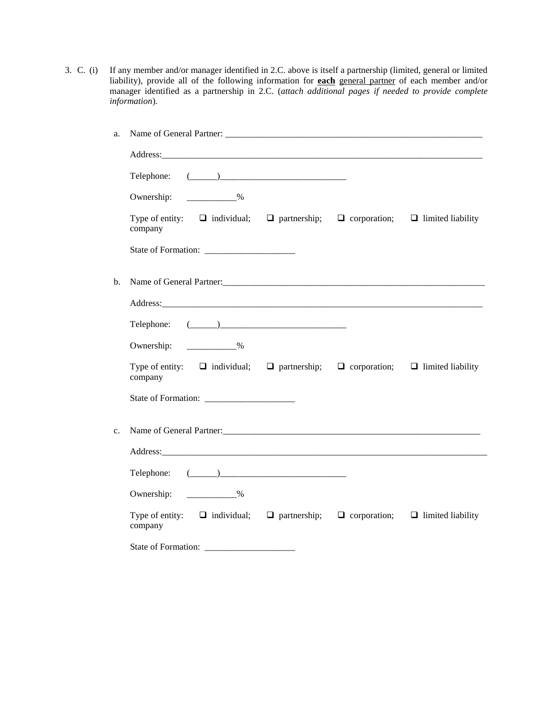3. C. (i) If any member and/or manager identified in 2.C. above is itself a partnership (limited, general or limited liability), provide all of the following information for **each** general partner of each member and/or manager identified as a partnership in 2.C. (*attach additional pages if needed to provide complete information*).

| a.             |                                                                                                                |  |  |
|----------------|----------------------------------------------------------------------------------------------------------------|--|--|
|                |                                                                                                                |  |  |
|                | Telephone: $(\_\_)$                                                                                            |  |  |
|                | $\sim$ $\sim$ $\sim$<br>Ownership:                                                                             |  |  |
|                | Type of entity: $\Box$ individual; $\Box$ partnership; $\Box$ corporation; $\Box$ limited liability<br>company |  |  |
|                |                                                                                                                |  |  |
| b.             |                                                                                                                |  |  |
|                |                                                                                                                |  |  |
|                | Telephone: $(\_\_)$                                                                                            |  |  |
|                | Ownership: 2008                                                                                                |  |  |
|                | Type of entity: $\Box$ individual; $\Box$ partnership; $\Box$ corporation; $\Box$ limited liability<br>company |  |  |
|                |                                                                                                                |  |  |
| C <sub>1</sub> |                                                                                                                |  |  |
|                |                                                                                                                |  |  |
|                | Telephone: $(\_\_)$                                                                                            |  |  |
|                | Ownership: <u>______________%</u>                                                                              |  |  |
|                | Type of entity: $\Box$ individual; $\Box$ partnership; $\Box$ corporation; $\Box$ limited liability<br>company |  |  |
|                |                                                                                                                |  |  |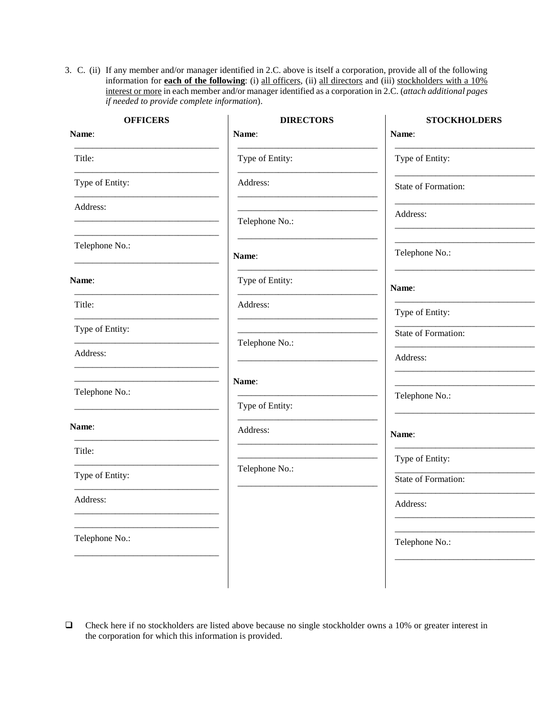3. C. (ii) If any member and/or manager identified in 2.C. above is itself a corporation, provide all of the following information for **each of the following**: (i) all officers, (ii) all directors and (iii) stockholders with a 10% interest or more in each member and/or manager identified as a corporation in 2.C. (*attach additional pages if needed to provide complete information*).

| <b>OFFICERS</b> | <b>DIRECTORS</b>            | <b>STOCKHOLDERS</b> |
|-----------------|-----------------------------|---------------------|
| Name:           | Name:                       | Name:               |
| Title:          | Type of Entity:             | Type of Entity:     |
| Type of Entity: | Address:                    | State of Formation: |
| Address:        | Telephone No.:              | Address:            |
| Telephone No.:  | Name:                       | Telephone No.:      |
| Name:           | Type of Entity:             | Name:               |
| Title:          | Address:                    | Type of Entity:     |
| Type of Entity: |                             | State of Formation: |
| Address:        | Telephone No.:              | Address:            |
| Telephone No.:  | Name:                       | Telephone No.:      |
| Name:           | Type of Entity:<br>Address: | Name:               |
| Title:          |                             | Type of Entity:     |
| Type of Entity: | Telephone No.:              | State of Formation: |
| Address:        |                             | Address:            |
| Telephone No.:  |                             | Telephone No.:      |
|                 |                             |                     |

 Check here if no stockholders are listed above because no single stockholder owns a 10% or greater interest in the corporation for which this information is provided.